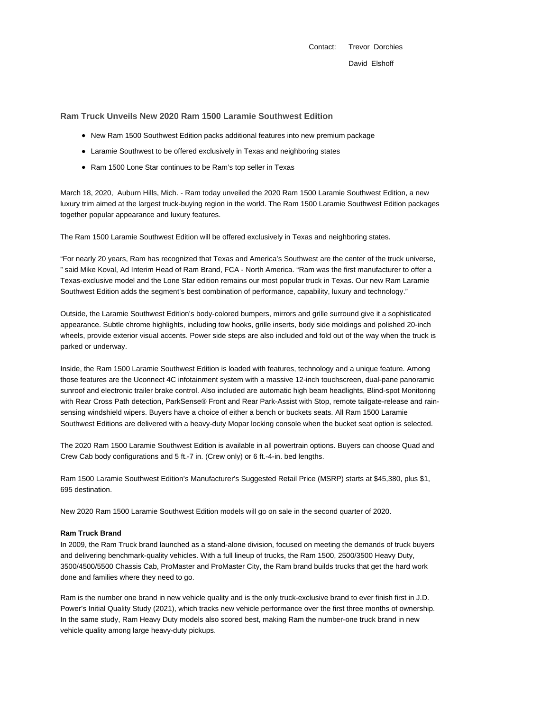Contact: Trevor Dorchies David Elshoff

**Ram Truck Unveils New 2020 Ram 1500 Laramie Southwest Edition**

- New Ram 1500 Southwest Edition packs additional features into new premium package
- Laramie Southwest to be offered exclusively in Texas and neighboring states
- Ram 1500 Lone Star continues to be Ram's top seller in Texas

March 18, 2020, Auburn Hills, Mich. - Ram today unveiled the 2020 Ram 1500 Laramie Southwest Edition, a new luxury trim aimed at the largest truck-buying region in the world. The Ram 1500 Laramie Southwest Edition packages together popular appearance and luxury features.

The Ram 1500 Laramie Southwest Edition will be offered exclusively in Texas and neighboring states.

"For nearly 20 years, Ram has recognized that Texas and America's Southwest are the center of the truck universe, " said Mike Koval, Ad Interim Head of Ram Brand, FCA - North America. "Ram was the first manufacturer to offer a Texas-exclusive model and the Lone Star edition remains our most popular truck in Texas. Our new Ram Laramie Southwest Edition adds the segment's best combination of performance, capability, luxury and technology."

Outside, the Laramie Southwest Edition's body-colored bumpers, mirrors and grille surround give it a sophisticated appearance. Subtle chrome highlights, including tow hooks, grille inserts, body side moldings and polished 20-inch wheels, provide exterior visual accents. Power side steps are also included and fold out of the way when the truck is parked or underway.

Inside, the Ram 1500 Laramie Southwest Edition is loaded with features, technology and a unique feature. Among those features are the Uconnect 4C infotainment system with a massive 12-inch touchscreen, dual-pane panoramic sunroof and electronic trailer brake control. Also included are automatic high beam headlights, Blind-spot Monitoring with Rear Cross Path detection, ParkSense® Front and Rear Park-Assist with Stop, remote tailgate-release and rainsensing windshield wipers. Buyers have a choice of either a bench or buckets seats. All Ram 1500 Laramie Southwest Editions are delivered with a heavy-duty Mopar locking console when the bucket seat option is selected.

The 2020 Ram 1500 Laramie Southwest Edition is available in all powertrain options. Buyers can choose Quad and Crew Cab body configurations and 5 ft.-7 in. (Crew only) or 6 ft.-4-in. bed lengths.

Ram 1500 Laramie Southwest Edition's Manufacturer's Suggested Retail Price (MSRP) starts at \$45,380, plus \$1, 695 destination.

New 2020 Ram 1500 Laramie Southwest Edition models will go on sale in the second quarter of 2020.

## **Ram Truck Brand**

In 2009, the Ram Truck brand launched as a stand-alone division, focused on meeting the demands of truck buyers and delivering benchmark-quality vehicles. With a full lineup of trucks, the Ram 1500, 2500/3500 Heavy Duty, 3500/4500/5500 Chassis Cab, ProMaster and ProMaster City, the Ram brand builds trucks that get the hard work done and families where they need to go.

Ram is the number one brand in new vehicle quality and is the only truck-exclusive brand to ever finish first in J.D. Power's Initial Quality Study (2021), which tracks new vehicle performance over the first three months of ownership. In the same study, Ram Heavy Duty models also scored best, making Ram the number-one truck brand in new vehicle quality among large heavy-duty pickups.